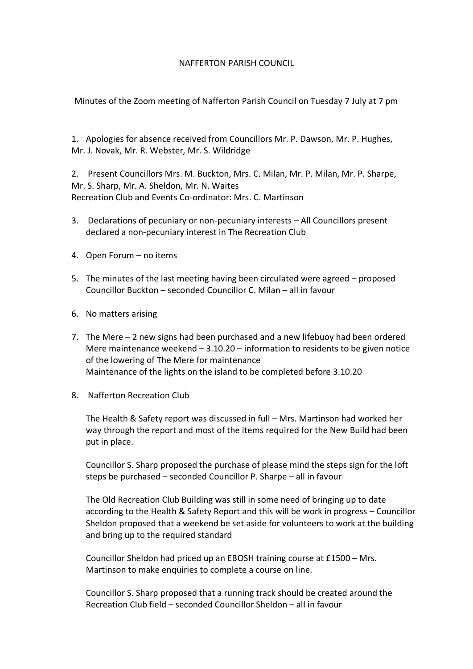## NAFFERTON PARISH COUNCIL

Minutes of the Zoom meeting of Nafferton Parish Council on Tuesday 7 July at 7 pm

1. Apologies for absence received from Councillors Mr. P. Dawson, Mr. P. Hughes, Mr. J. Novak, Mr. R. Webster, Mr. S. Wildridge

2. Present Councillors Mrs. M. Buckton, Mrs. C. Milan, Mr. P. Milan, Mr. P. Sharpe, Mr. S. Sharp, Mr. A. Sheldon, Mr. N. Waites Recreation Club and Events Co-ordinator: Mrs. C. Martinson

- 3. Declarations of pecuniary or non-pecuniary interests All Councillors present declared a non-pecuniary interest in The Recreation Club
- 4. Open Forum no items
- 5. The minutes of the last meeting having been circulated were agreed proposed Councillor Buckton – seconded Councillor C. Milan – all in favour
- 6. No matters arising
- 7. The Mere 2 new signs had been purchased and a new lifebuoy had been ordered Mere maintenance weekend – 3.10.20 – information to residents to be given notice of the lowering of The Mere for maintenance Maintenance of the lights on the island to be completed before 3.10.20
- 8. Nafferton Recreation Club

The Health & Safety report was discussed in full – Mrs. Martinson had worked her way through the report and most of the items required for the New Build had been put in place.

Councillor S. Sharp proposed the purchase of please mind the steps sign for the loft steps be purchased – seconded Councillor P. Sharpe – all in favour

The Old Recreation Club Building was still in some need of bringing up to date according to the Health & Safety Report and this will be work in progress – Councillor Sheldon proposed that a weekend be set aside for volunteers to work at the building and bring up to the required standard

Councillor Sheldon had priced up an EBOSH training course at £1500 – Mrs. Martinson to make enquiries to complete a course on line.

Councillor S. Sharp proposed that a running track should be created around the Recreation Club field – seconded Councillor Sheldon – all in favour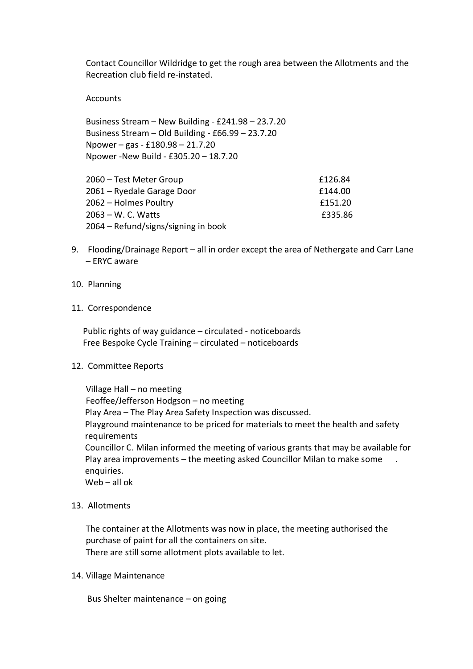Contact Councillor Wildridge to get the rough area between the Allotments and the Recreation club field re-instated.

**Accounts** 

Business Stream – New Building - £241.98 – 23.7.20 Business Stream – Old Building - £66.99 – 23.7.20 Npower – gas - £180.98 – 21.7.20 Npower -New Build - £305.20 – 18.7.20

| 2060 – Test Meter Group             | £126.84 |
|-------------------------------------|---------|
| 2061 – Ryedale Garage Door          | £144.00 |
| 2062 – Holmes Poultry               | £151.20 |
| 2063 – W. C. Watts                  | £335.86 |
| 2064 – Refund/signs/signing in book |         |

- 9. Flooding/Drainage Report all in order except the area of Nethergate and Carr Lane – ERYC aware
- 10. Planning
- 11. Correspondence

 Public rights of way guidance – circulated - noticeboards Free Bespoke Cycle Training – circulated – noticeboards

12. Committee Reports

Village Hall – no meeting Feoffee/Jefferson Hodgson – no meeting Play Area – The Play Area Safety Inspection was discussed. Playground maintenance to be priced for materials to meet the health and safety requirements Councillor C. Milan informed the meeting of various grants that may be available for Play area improvements – the meeting asked Councillor Milan to make some . enquiries. Web – all ok

13. Allotments

The container at the Allotments was now in place, the meeting authorised the purchase of paint for all the containers on site. There are still some allotment plots available to let.

14. Village Maintenance

Bus Shelter maintenance – on going